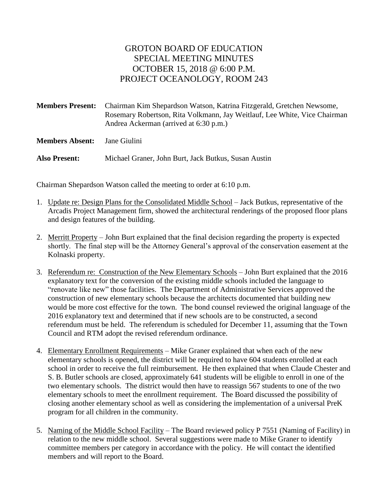## GROTON BOARD OF EDUCATION SPECIAL MEETING MINUTES OCTOBER 15, 2018 @ 6:00 P.M. PROJECT OCEANOLOGY, ROOM 243

**Members Present:** Chairman Kim Shepardson Watson, Katrina Fitzgerald, Gretchen Newsome, Rosemary Robertson, Rita Volkmann, Jay Weitlauf, Lee White, Vice Chairman Andrea Ackerman (arrived at 6:30 p.m.)

**Members Absent:** Jane Giulini

**Also Present:** Michael Graner, John Burt, Jack Butkus, Susan Austin

Chairman Shepardson Watson called the meeting to order at 6:10 p.m.

- 1. Update re: Design Plans for the Consolidated Middle School Jack Butkus, representative of the Arcadis Project Management firm, showed the architectural renderings of the proposed floor plans and design features of the building.
- 2. Merritt Property John Burt explained that the final decision regarding the property is expected shortly. The final step will be the Attorney General's approval of the conservation easement at the Kolnaski property.
- 3. Referendum re: Construction of the New Elementary Schools John Burt explained that the 2016 explanatory text for the conversion of the existing middle schools included the language to "renovate like new" those facilities. The Department of Administrative Services approved the construction of new elementary schools because the architects documented that building new would be more cost effective for the town. The bond counsel reviewed the original language of the 2016 explanatory text and determined that if new schools are to be constructed, a second referendum must be held. The referendum is scheduled for December 11, assuming that the Town Council and RTM adopt the revised referendum ordinance.
- 4. Elementary Enrollment Requirements Mike Graner explained that when each of the new elementary schools is opened, the district will be required to have 604 students enrolled at each school in order to receive the full reimbursement. He then explained that when Claude Chester and S. B. Butler schools are closed, approximately 641 students will be eligible to enroll in one of the two elementary schools. The district would then have to reassign 567 students to one of the two elementary schools to meet the enrollment requirement. The Board discussed the possibility of closing another elementary school as well as considering the implementation of a universal PreK program for all children in the community.
- 5. Naming of the Middle School Facility The Board reviewed policy P 7551 (Naming of Facility) in relation to the new middle school. Several suggestions were made to Mike Graner to identify committee members per category in accordance with the policy. He will contact the identified members and will report to the Board.